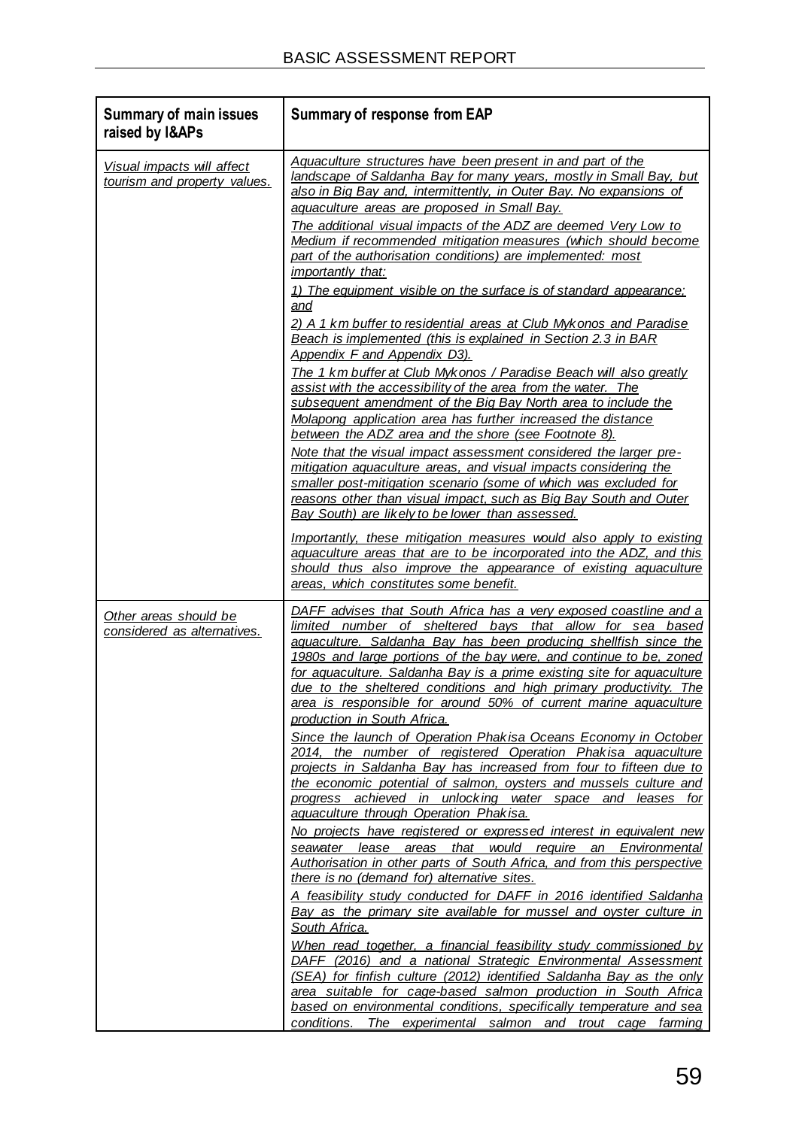# **Proposed Sea-Based Aquaculture Development Zone in Saldanha Bay**

# **Final Basic Assessment Report**

**Report Prepared for Department of Agriculture, Forestry and Fisheries**

**Report Number 499020 / 3**



**Report Prepared by**



**May 2017**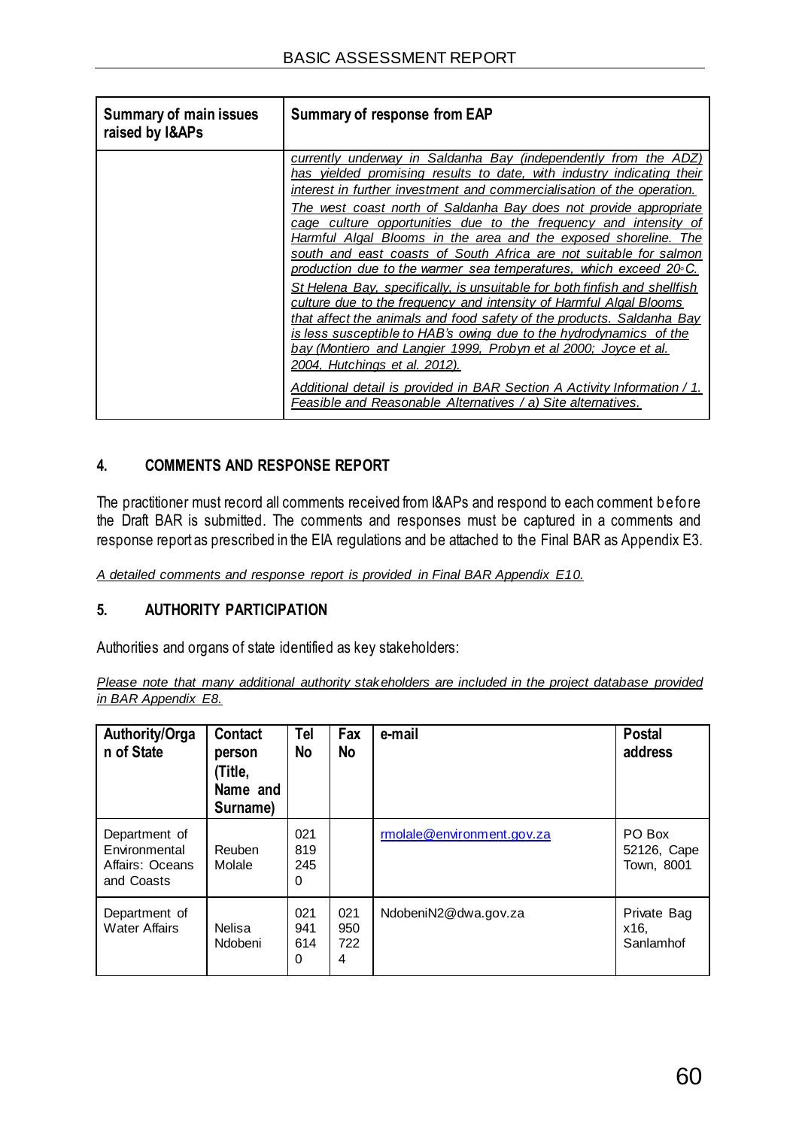# **Proposed Sea-Based Aquaculture Development Zone in Saldanha Bay Final Basic Assessment Report**

### **Department of Agriculture, Forestry and Fisheries**

#### **SRK Consulting (South Africa) (Pty) Ltd**

The Administrative Building Albion Spring 183 Main Rd Rondebosch 7700 Cape Town South Africa

e-mail: capetown@srk.co.za website: [www.srk.co.za](http://www.srk.co.za/)

Tel: +27 (0) 21 659 3060 Fax: +27 (0) 21 685 7105

#### **SRK Project Number 499020**

**May 2017**

 Sue Reuther Principal Environmental Consultant

Email: [sreuther@srk.co.za](mailto:sreuther@srk.co.za)

#### **Authors:**

Sue Reuther, Jessica du Toit

#### **Compiled by: Peer Reviewed by:**

Chris Dalgliesh Principal Environmental Consultant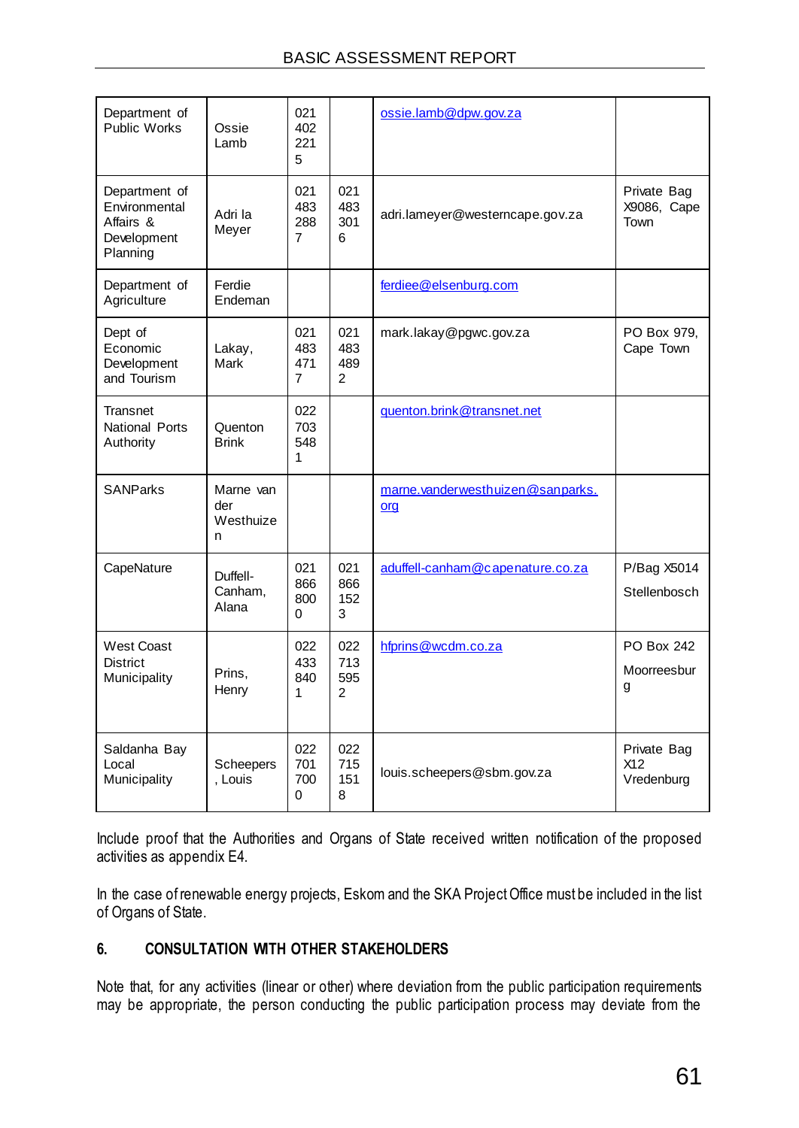#### **BA for Proposed Sea-Based Aquaculture Development Zone in Saldanha Bay: EAP Affirmation**

Section 16 (1) (b) (iv), Appendix 1 Section 3 (1) (r), Appendix 2 Sections 2 (j) and (k) and Appendix 3 Section 3 (s) of the Environmental Impact Assessment (EIA) Regulations, 2014 (promulgated in terms of the National Environmental Management Act 107 of 1998, as amended - NEMA), require an undertaking under oath or affirmation by the Environmental Assessment Practitioner (EAP) in relation to:

- The correctness of the information provided in the report;
- The inclusion of comments and inputs from stakeholders and interested and affected parties;
- Any information provided by the EAP to interested and affected parties and any responses by the EAP to comments or inputs made by interested or affected parties; and
- The level of agreement between the EAP and interested and affected parties on the Plan of Study for undertaking the environmental impact assessment.

SRK Consulting (South Africa) (Pty) Ltd and the EAPs managing this project hereby affirm that:

- To the best of our knowledge the information provided in the report is correct, and no attempt has been made to manipulate information to achieve a particular outcome. Some information, especially pertaining to the project description, was provided by the applicant and/or their subcontractors. In this respect, SRK's standard disclaimer (inserted in this report) pertaining to information provided by third parties applies.
- To the best of our knowledge all comments and inputs from stakeholders and interested and affected parties have been captured in the report and no attempt has been made to manipulate such comment or input to achieve a particular outcome. Written submissions are appended to the report while other comments are recorded within the report. For the sake of brevity, not all comments are recorded *verbatim*, and in instances where many stakeholders have made similar comments, they are grouped together, with a clear listing of who submitted which comment(s).
- Information and responses provided by the EAP to interested and affected parties are clearly presented in the report. Where responses are provided by the applicant (not the EAP), these are clearly indicated.
- With respect to EIA Reports, SRK will take account of interested and affected parties' comments on the Plan of Study and, insofar as comments are relevant and practicable, accommodate these during the Impact Assessment Phase of the EIA process.



#### Sue Reuther CEAPSA

Principal Environmental Consultant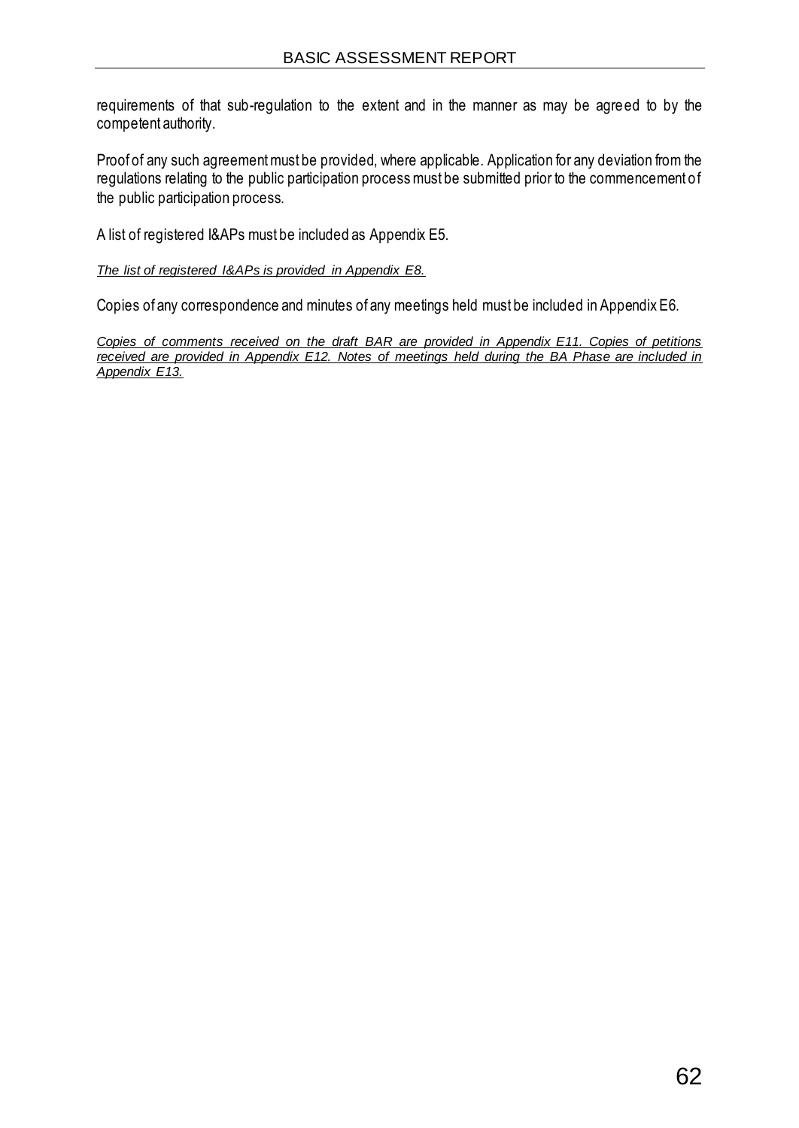### *Note:*

*In response to stakeholder comments, the Basic Assessment Report (BAR) (SRK Report 499020/1) was updated at the end of the comment period to produce this Final BAR.* 

*All changes in the Final BAR and vis-a-vis the previously released BAR are italicised and underlined for easier reference.* 

*A Comments and Responses Report, reflecting stakeholder comments received during the stakeholder engagement process and responses by SRK, specialists and DAFF, is included in Appendix E8.*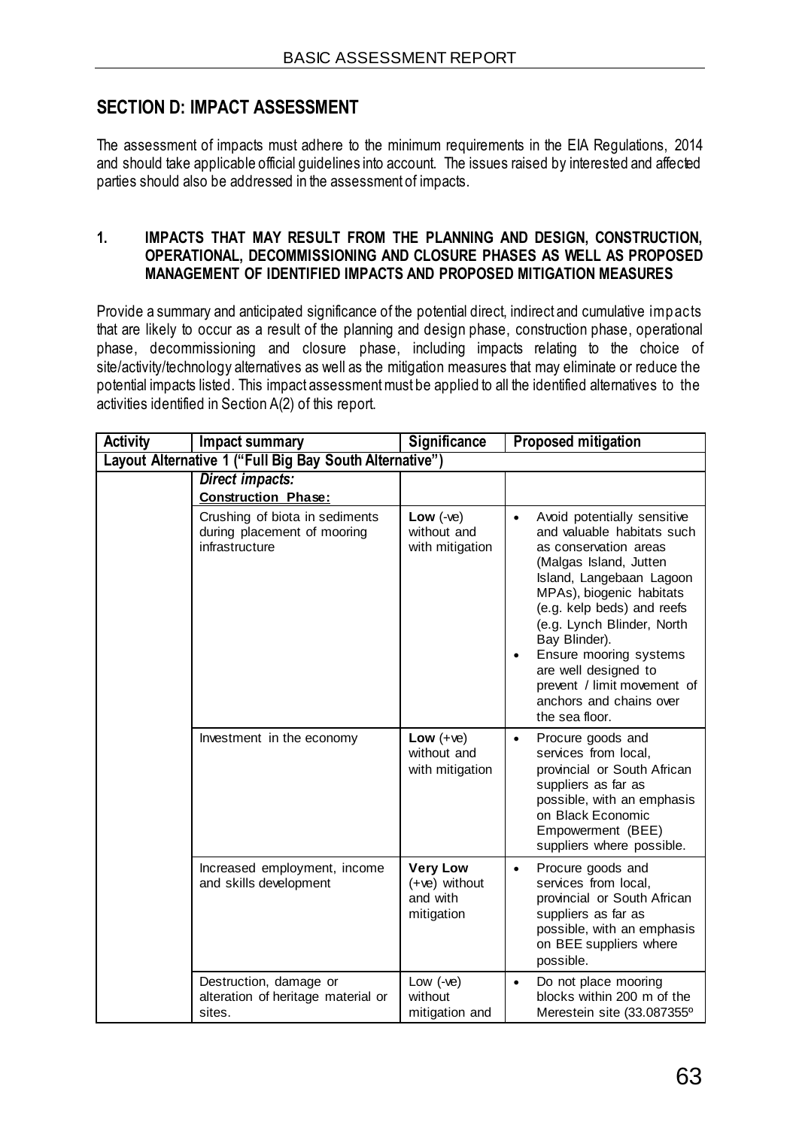# **Table of Contents**

#### **Section A: Activity Information**

- 1. Project Description
- 2. Feasible and Reasonable Alternatives
- 3. Physical Size of the Activity
- 4. Site Access
- 5. Locality Map
- 6. Layout / Route Plan
- 7. Sensitivity Map
- 8. Site Photographs
- 9. Facility Illustration
- 10. Activity Motivation
- 11. Applicable Legislation, Policies and / or Guidelines
- 12. Waste, Effluent, Emission and Noise Management'
- 13. Water Use
- 14. Energy Efficiency

#### **Section B: Site / Area / Property Description**

- 1. Gradient of the Site
- 2. Location in Landscape
- 3. Groundwater, Soil and Geological Stability of the Site
- 4. Groundcover
- 5. Surface Water
- 6. Land Use Character of Surrounding Area
- 7. Cultural / Historical Features
- 8. Socio-economic Character
- 9. Biodiversity

#### **Section C: Public Participation**

- 1. Advertisement and Notice
- 2. Determination of Appropriate Measures
- 3. Issues raised by Interested and Affected Parties
- 4. Comments and Response Report
- 5. Authority Participation
- 6. Consultation with other Stakeholders

#### **Section D: Impact Assessment**

- 1. Impacts that may result from the Planning and Design, Construction, Operational, Decommissioning and Closure Phases as well as Proposed Management of Identified Impacts and Proposed Mitigation Measures
- 2. Environmental Impact Statement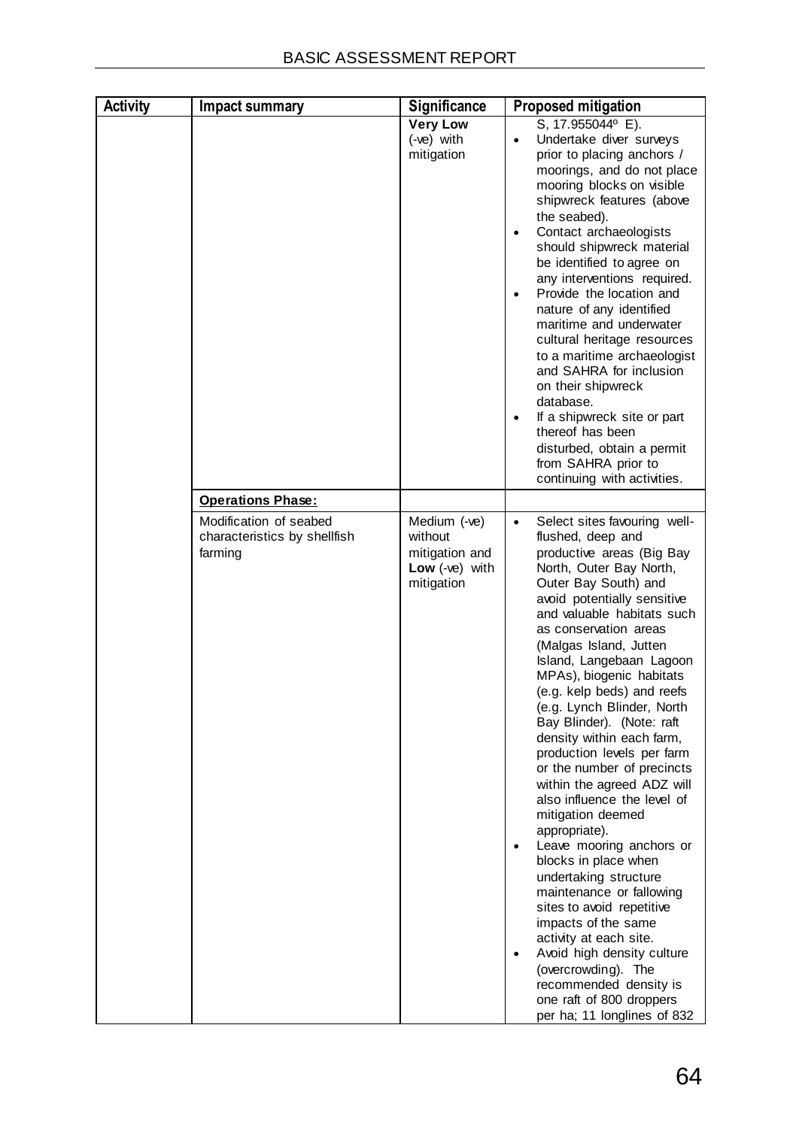#### **Section E: Recommendation of Practitioner**

### **Section F: Appendices**

| Appendix A: |                           | Maps                                                          |  |  |  |
|-------------|---------------------------|---------------------------------------------------------------|--|--|--|
| Appendix B: |                           | Photographs                                                   |  |  |  |
| Appendix C: |                           | Facility illustration(s)                                      |  |  |  |
|             | Appendix D:               | Specialist reports (including terms of reference)             |  |  |  |
|             | * Appendix D1:            | <b>Project Definition Report</b>                              |  |  |  |
|             | Appendix D2:              | Marine Ecology Specialist Study                               |  |  |  |
|             | Appendix D3:              | <b>Visual Specialist Study</b>                                |  |  |  |
|             | Appendix D4:              | Heritage Specialist Input                                     |  |  |  |
|             | Appendix D5:              | <b>Visual Specialist Study Review</b>                         |  |  |  |
|             |                           | Appendix E: Public Participation                              |  |  |  |
|             | * Appendix E1:            | <b>Advert and Posters</b>                                     |  |  |  |
|             | * Appendix E2:            | Initial Notification of Stakeholders                          |  |  |  |
|             | * Appendix E3:            | <b>Background Information Document</b>                        |  |  |  |
|             | * Appendix E4:            | <b>Technical Stakeholder Workshop Documentation</b>           |  |  |  |
|             | * Appendix E5:            | Project Definition Summary and Distribution                   |  |  |  |
|             | * Appendix E6:            | Notes of <i>Initial</i> Meeting with South African Sailing    |  |  |  |
|             | * Appendix E7:            | Copies of <i>Initial</i> Stakeholder Comments                 |  |  |  |
|             | Appendix E8:              | <b>Registered Stakeholders</b>                                |  |  |  |
|             | Appendix E9:              | <b>BAR Notification of Stakeholders (including Extension)</b> |  |  |  |
|             | Appendix E10:             | <b>Comments and Responses Table</b>                           |  |  |  |
|             | <u> Appendix E11: ___</u> | <b>Copies of Stakeholder Comments on BAR</b>                  |  |  |  |
|             | <u>* Appendix E12:</u>    | <b>Copies of Stakeholder Petitions</b>                        |  |  |  |
|             | <b>Appendix E13:</b>      | Notes of Meeting held during the BAR Comment Period           |  |  |  |
|             | Appendix E14:             | <b>BAR Public Open Day Attendance Register and Posters</b>    |  |  |  |
|             | Appendix F:               | <b>Impact Assessment</b>                                      |  |  |  |
| Appendix G: |                           | Environmental Management Programme (EMPr)                     |  |  |  |
| Appendix H: |                           | Details of EAP and expertise                                  |  |  |  |
| Appendix I: |                           | <b>Declarations of Interest</b>                               |  |  |  |
| Appendix J: |                           | <b>Additional Information</b>                                 |  |  |  |
|             | Appendix J1:              | <b>Risk Assessments Conducted for DAFF</b>                    |  |  |  |
|             | <b>Appendix J2:</b>       | Information regarding Vredenburg landfill                     |  |  |  |

\* Appendices marked with a star are not included in the printed copies of the Final BAR distributed for stakeholder comments in May 2017, as these documents were already released in full with the draft BAR and have not changed. For Appendix E12 a sample form is provided to reduce the document volume.

The appendices are available in full on SRK's website [www.srk.co.za](http://www.srk.co.za/) - Library - Public Documents.

The appendices will be included in full in the submission to DEA.